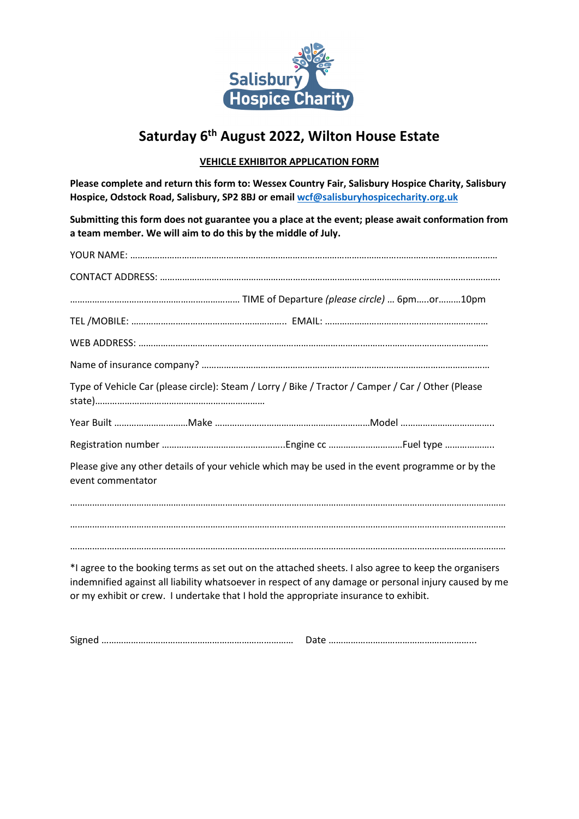

# **Saturday 6th August 2022, Wilton House Estate**

## **VEHICLE EXHIBITOR APPLICATION FORM**

**Please complete and return this form to: Wessex Country Fair, Salisbury Hospice Charity, Salisbury Hospice, Odstock Road, Salisbury, SP2 8BJ or emai[l wcf@salisburyhospicecharity.org.uk](mailto:wcf@salisburyhospicecharity.org.uk)**

**Submitting this form does not guarantee you a place at the event; please await conformation from a team member. We will aim to do this by the middle of July.** 

| Type of Vehicle Car (please circle): Steam / Lorry / Bike / Tractor / Camper / Car / Other (Please                    |                                                                                                                                                                                                               |
|-----------------------------------------------------------------------------------------------------------------------|---------------------------------------------------------------------------------------------------------------------------------------------------------------------------------------------------------------|
|                                                                                                                       |                                                                                                                                                                                                               |
|                                                                                                                       |                                                                                                                                                                                                               |
| Please give any other details of your vehicle which may be used in the event programme or by the<br>event commentator |                                                                                                                                                                                                               |
|                                                                                                                       |                                                                                                                                                                                                               |
|                                                                                                                       |                                                                                                                                                                                                               |
|                                                                                                                       |                                                                                                                                                                                                               |
| or my exhibit or crew. I undertake that I hold the appropriate insurance to exhibit.                                  | *I agree to the booking terms as set out on the attached sheets. I also agree to keep the organisers<br>indemnified against all liability whatsoever in respect of any damage or personal injury caused by me |

Signed …………………………………………………………………… Date …………………………………………………...